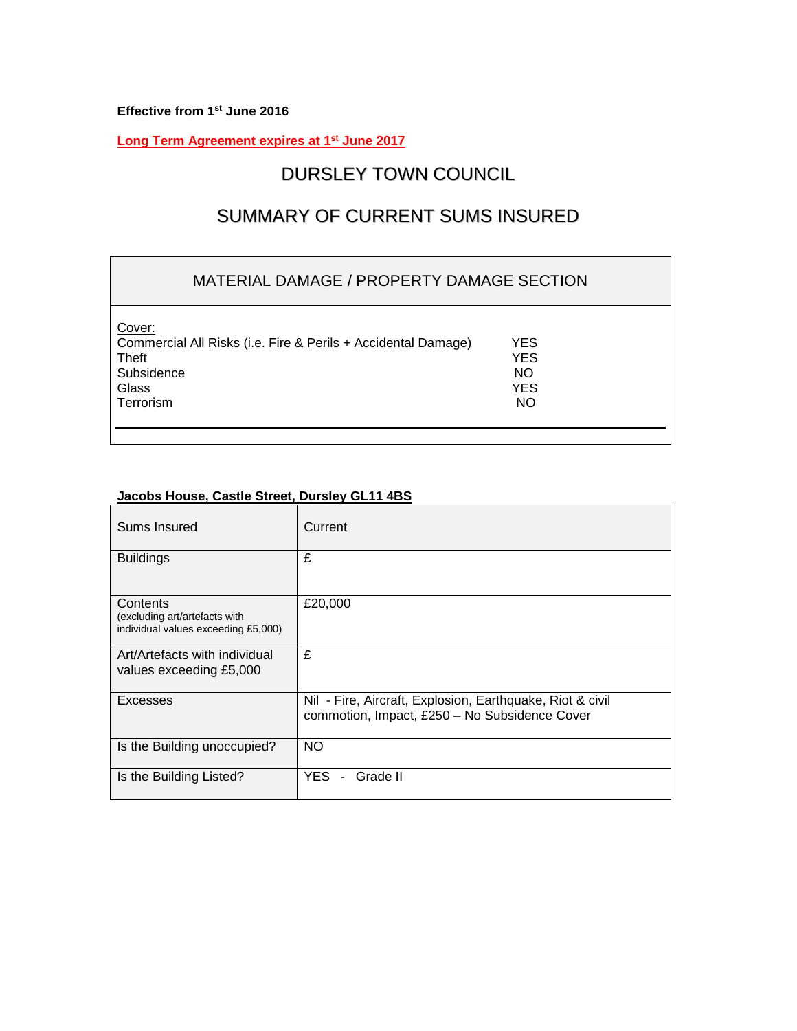**Effective from 1 st June 2016**

**Long Term Agreement expires at 1 st June 2017**

# DURSLEY TOWN COUNCIL

# SUMMARY OF CURRENT SUMS INSURED

### MATERIAL DAMAGE / PROPERTY DAMAGE SECTION

Cover: Commercial All Risks (i.e. Fire & Perils + Accidental Damage) YES Theft **YES** Subsidence NO<br>Glass NO<br>NO Selass NO Glass YES Terrorism NO

# **Jacobs House, Castle Street, Dursley GL11 4BS**

| Sums Insured                                                                     | Current                                                                                                    |
|----------------------------------------------------------------------------------|------------------------------------------------------------------------------------------------------------|
| <b>Buildings</b>                                                                 | £                                                                                                          |
| Contents<br>(excluding art/artefacts with<br>individual values exceeding £5,000) | £20,000                                                                                                    |
| Art/Artefacts with individual<br>values exceeding £5,000                         | £                                                                                                          |
| Excesses                                                                         | Nil - Fire, Aircraft, Explosion, Earthquake, Riot & civil<br>commotion, Impact, £250 - No Subsidence Cover |
| Is the Building unoccupied?                                                      | NO                                                                                                         |
| Is the Building Listed?                                                          | YES.<br>Grade II<br>$\blacksquare$                                                                         |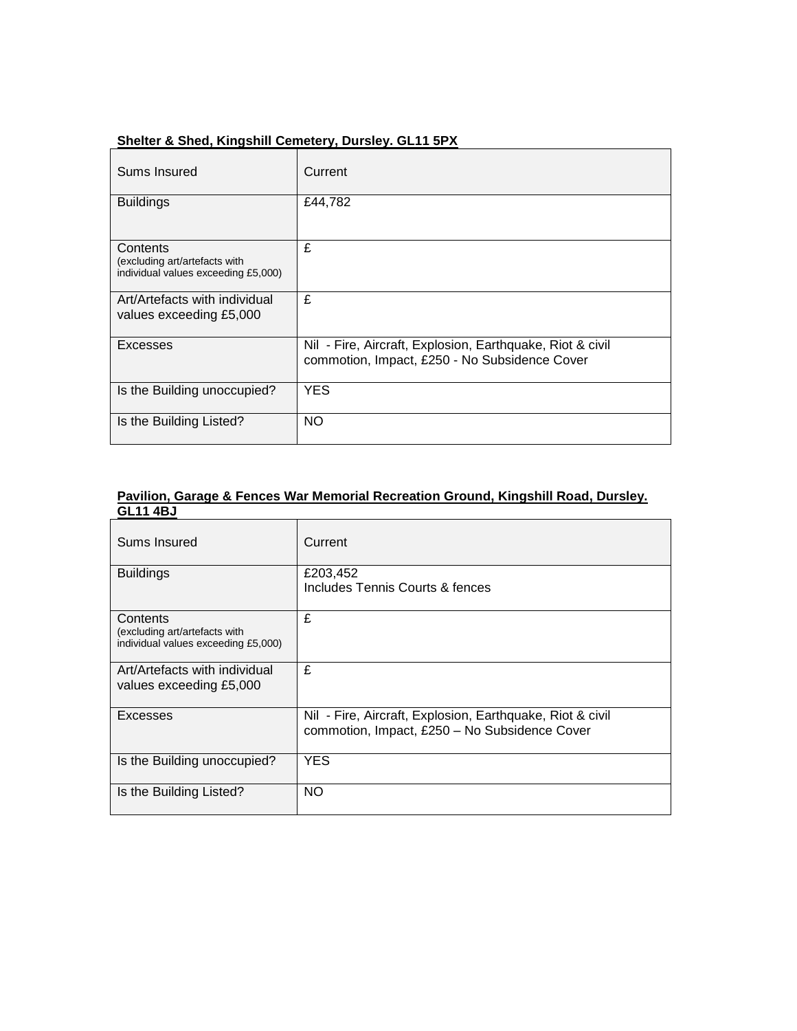| Sums Insured                                                                     | Current                                                                                                    |
|----------------------------------------------------------------------------------|------------------------------------------------------------------------------------------------------------|
| <b>Buildings</b>                                                                 | £44,782                                                                                                    |
| Contents<br>(excluding art/artefacts with<br>individual values exceeding £5,000) | £                                                                                                          |
| Art/Artefacts with individual<br>values exceeding £5,000                         | £                                                                                                          |
| Excesses                                                                         | Nil - Fire, Aircraft, Explosion, Earthquake, Riot & civil<br>commotion, Impact, £250 - No Subsidence Cover |
| Is the Building unoccupied?                                                      | <b>YES</b>                                                                                                 |
| Is the Building Listed?                                                          | <b>NO</b>                                                                                                  |

### **Shelter & Shed, Kingshill Cemetery, Dursley. GL11 5PX**

#### **Pavilion, Garage & Fences War Memorial Recreation Ground, Kingshill Road, Dursley. GL11 4BJ**

| Sums Insured                                                                     | Current                                                                                                    |
|----------------------------------------------------------------------------------|------------------------------------------------------------------------------------------------------------|
| <b>Buildings</b>                                                                 | £203,452<br>Includes Tennis Courts & fences                                                                |
| Contents<br>(excluding art/artefacts with<br>individual values exceeding £5,000) | £                                                                                                          |
| Art/Artefacts with individual<br>values exceeding £5,000                         | £                                                                                                          |
| Excesses                                                                         | Nil - Fire, Aircraft, Explosion, Earthquake, Riot & civil<br>commotion, Impact, £250 - No Subsidence Cover |
| Is the Building unoccupied?                                                      | <b>YES</b>                                                                                                 |
| Is the Building Listed?                                                          | <b>NO</b>                                                                                                  |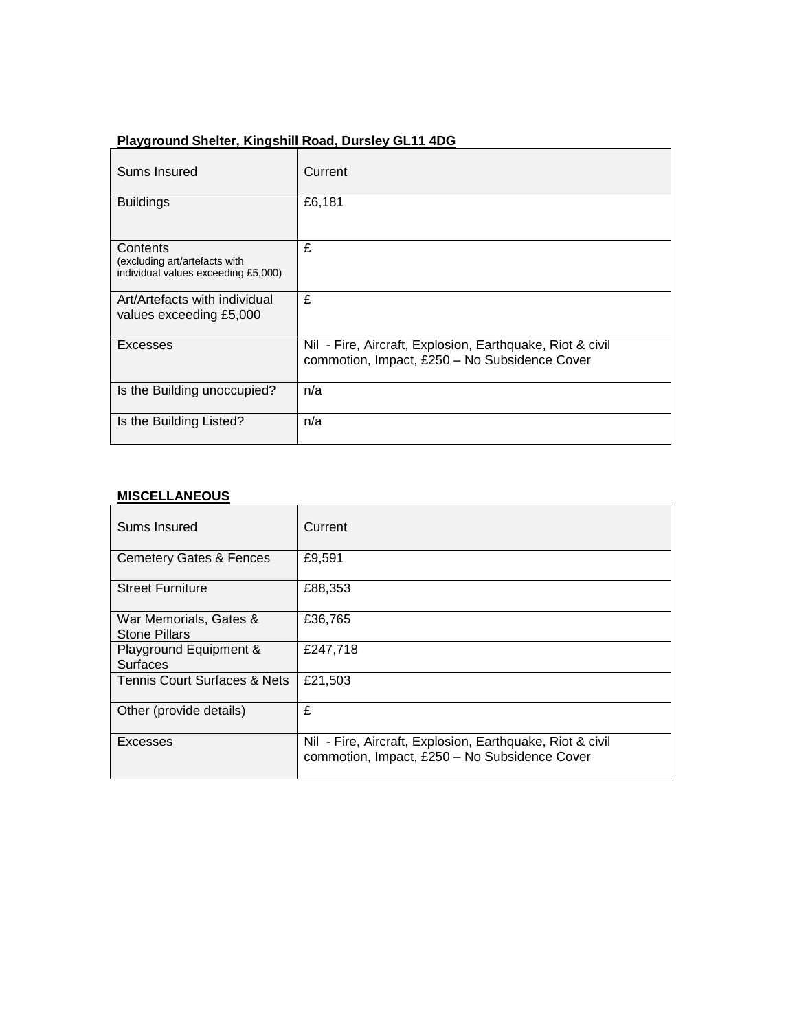# Sums Insured Current Buildings E6,181 **Contents** (excluding art/artefacts with individual values exceeding £5,000) £ Art/Artefacts with individual values exceeding £5,000 £ Excesses Nil - Fire, Aircraft, Explosion, Earthquake, Riot & civil commotion, Impact, £250 – No Subsidence Cover Is the Building unoccupied? | n/a Is the Building Listed? | n/a

### **Playground Shelter, Kingshill Road, Dursley GL11 4DG**

#### **MISCELLANEOUS**

| Sums Insured                                   | Current                                                                                                    |
|------------------------------------------------|------------------------------------------------------------------------------------------------------------|
| <b>Cemetery Gates &amp; Fences</b>             | £9,591                                                                                                     |
| <b>Street Furniture</b>                        | £88,353                                                                                                    |
| War Memorials, Gates &<br><b>Stone Pillars</b> | £36,765                                                                                                    |
| Playground Equipment &<br><b>Surfaces</b>      | £247,718                                                                                                   |
| Tennis Court Surfaces & Nets                   | £21,503                                                                                                    |
| Other (provide details)                        | £                                                                                                          |
| Excesses                                       | Nil - Fire, Aircraft, Explosion, Earthquake, Riot & civil<br>commotion, Impact, £250 - No Subsidence Cover |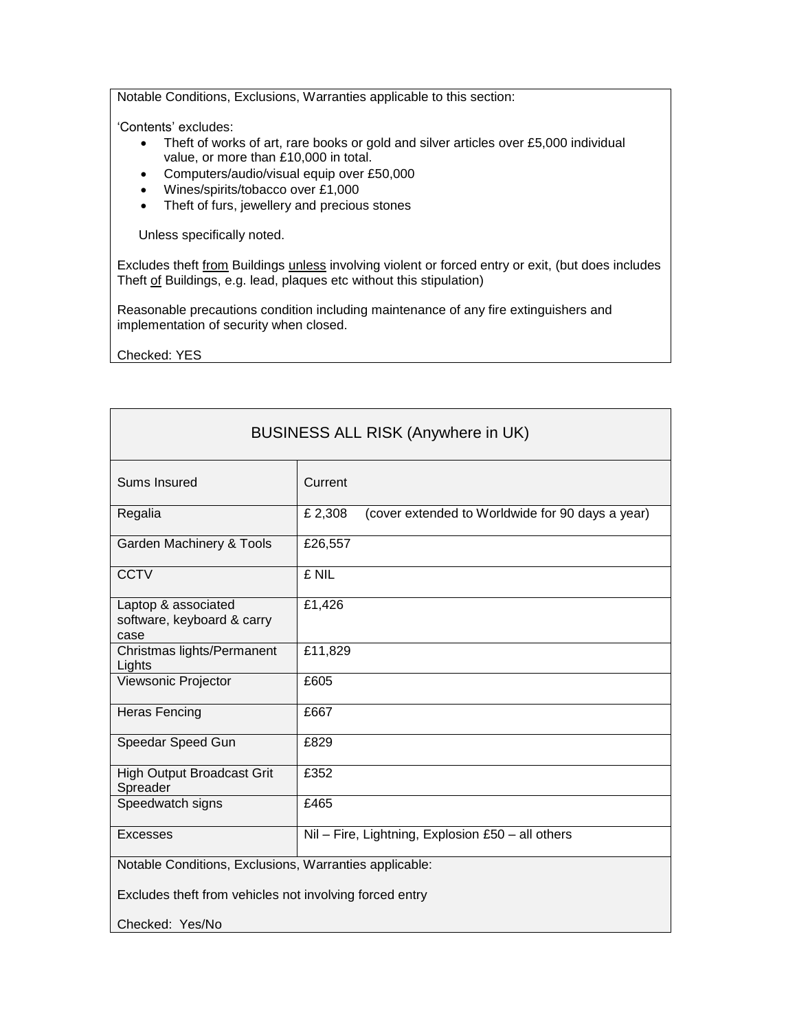Notable Conditions, Exclusions, Warranties applicable to this section:

'Contents' excludes:

- Theft of works of art, rare books or gold and silver articles over £5,000 individual value, or more than £10,000 in total.
- Computers/audio/visual equip over £50,000
- Wines/spirits/tobacco over £1,000
- Theft of furs, jewellery and precious stones

Unless specifically noted.

Excludes theft from Buildings unless involving violent or forced entry or exit, (but does includes Theft of Buildings, e.g. lead, plaques etc without this stipulation)

Reasonable precautions condition including maintenance of any fire extinguishers and implementation of security when closed.

Checked: YES

| <b>BUSINESS ALL RISK (Anywhere in UK)</b>                 |                                                             |
|-----------------------------------------------------------|-------------------------------------------------------------|
| Sums Insured                                              | Current                                                     |
| Regalia                                                   | £ 2,308<br>(cover extended to Worldwide for 90 days a year) |
| Garden Machinery & Tools                                  | £26,557                                                     |
| <b>CCTV</b>                                               | £ NIL                                                       |
| Laptop & associated<br>software, keyboard & carry<br>case | £1,426                                                      |
| Christmas lights/Permanent<br>Lights                      | £11,829                                                     |
| Viewsonic Projector                                       | £605                                                        |
| <b>Heras Fencing</b>                                      | £667                                                        |
| Speedar Speed Gun                                         | £829                                                        |
| <b>High Output Broadcast Grit</b><br>Spreader             | £352                                                        |
| Speedwatch signs                                          | £465                                                        |
| Excesses                                                  | Nil - Fire, Lightning, Explosion £50 - all others           |
| Notable Conditions, Exclusions, Warranties applicable:    |                                                             |
| Excludes theft from vehicles not involving forced entry   |                                                             |
| Checked: Yes/No                                           |                                                             |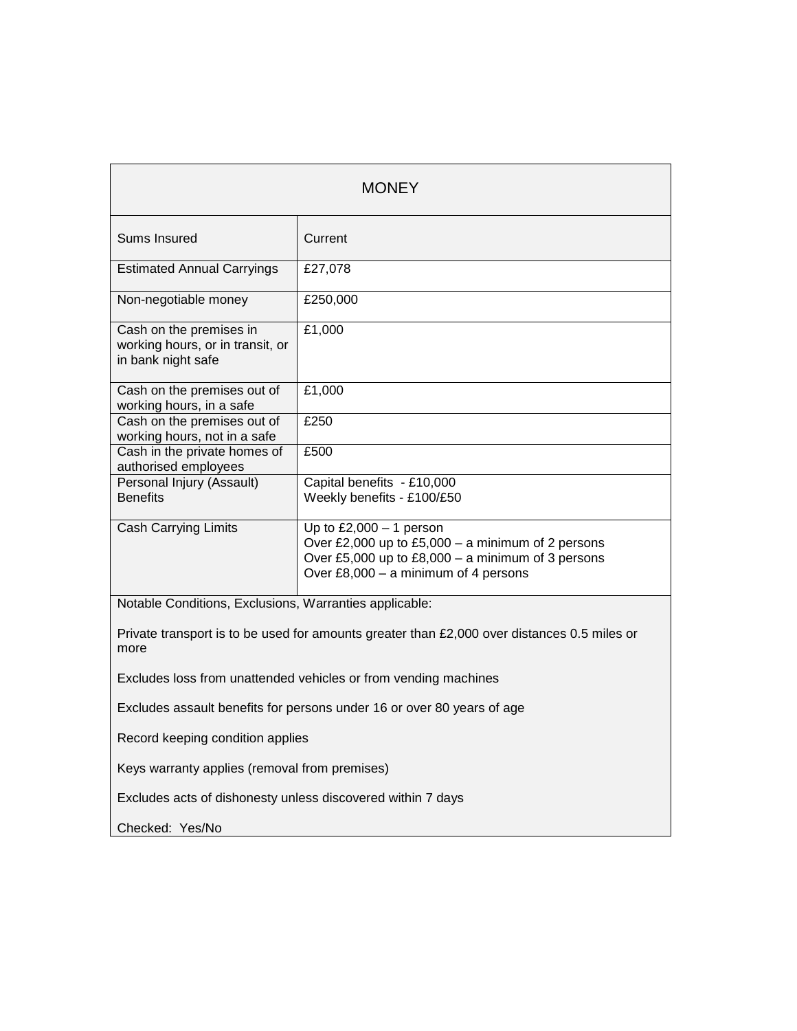| <b>MONEY</b>                                                                                        |                                                                                                                                                                             |  |
|-----------------------------------------------------------------------------------------------------|-----------------------------------------------------------------------------------------------------------------------------------------------------------------------------|--|
| Sums Insured                                                                                        | Current                                                                                                                                                                     |  |
| <b>Estimated Annual Carryings</b>                                                                   | £27,078                                                                                                                                                                     |  |
| Non-negotiable money                                                                                | £250,000                                                                                                                                                                    |  |
| Cash on the premises in<br>working hours, or in transit, or<br>in bank night safe                   | £1,000                                                                                                                                                                      |  |
| Cash on the premises out of<br>working hours, in a safe                                             | £1,000                                                                                                                                                                      |  |
| Cash on the premises out of<br>working hours, not in a safe                                         | £250                                                                                                                                                                        |  |
| Cash in the private homes of<br>authorised employees                                                | £500                                                                                                                                                                        |  |
| Personal Injury (Assault)<br><b>Benefits</b>                                                        | Capital benefits - £10,000<br>Weekly benefits - £100/£50                                                                                                                    |  |
| <b>Cash Carrying Limits</b>                                                                         | Up to $£2,000 - 1$ person<br>Over £2,000 up to £5,000 - a minimum of 2 persons<br>Over £5,000 up to £8,000 - a minimum of 3 persons<br>Over £8,000 - a minimum of 4 persons |  |
| Notable Conditions, Exclusions, Warranties applicable:                                              |                                                                                                                                                                             |  |
| Private transport is to be used for amounts greater than £2,000 over distances 0.5 miles or<br>more |                                                                                                                                                                             |  |
| Excludes loss from unattended vehicles or from vending machines                                     |                                                                                                                                                                             |  |
| Excludes assault benefits for persons under 16 or over 80 years of age                              |                                                                                                                                                                             |  |
| Record keeping condition applies                                                                    |                                                                                                                                                                             |  |
| Keys warranty applies (removal from premises)                                                       |                                                                                                                                                                             |  |
| Excludes acts of dishonesty unless discovered within 7 days                                         |                                                                                                                                                                             |  |
| Checked: Yes/No                                                                                     |                                                                                                                                                                             |  |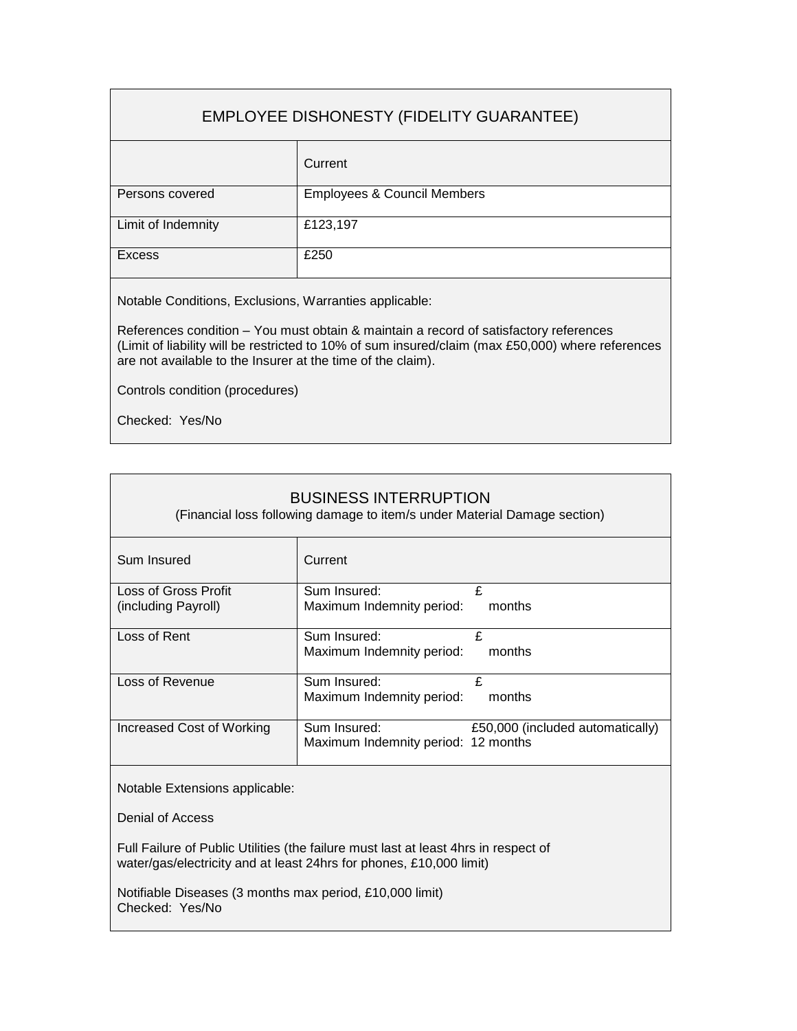## EMPLOYEE DISHONESTY (FIDELITY GUARANTEE)

|                    | Current                                |
|--------------------|----------------------------------------|
| Persons covered    | <b>Employees &amp; Council Members</b> |
| Limit of Indemnity | £123,197                               |
| <b>Excess</b>      | £250                                   |

Notable Conditions, Exclusions, Warranties applicable:

References condition – You must obtain & maintain a record of satisfactory references (Limit of liability will be restricted to 10% of sum insured/claim (max £50,000) where references are not available to the Insurer at the time of the claim).

Controls condition (procedures)

Checked: Yes/No

| <b>BUSINESS INTERRUPTION</b><br>(Financial loss following damage to item/s under Material Damage section) |                                     |                                  |
|-----------------------------------------------------------------------------------------------------------|-------------------------------------|----------------------------------|
| Sum Insured                                                                                               | Current                             |                                  |
| Loss of Gross Profit                                                                                      | Sum Insured:                        | £                                |
| (including Payroll)                                                                                       | Maximum Indemnity period:           | months                           |
| Loss of Rent                                                                                              | Sum Insured:                        | £                                |
|                                                                                                           | Maximum Indemnity period:           | months                           |
| Loss of Revenue                                                                                           | Sum Insured:                        | £                                |
|                                                                                                           | Maximum Indemnity period:           | months                           |
| Increased Cost of Working                                                                                 | Sum Insured:                        | £50,000 (included automatically) |
|                                                                                                           | Maximum Indemnity period: 12 months |                                  |
| Notable Extensions applicable:                                                                            |                                     |                                  |

Denial of Access

Full Failure of Public Utilities (the failure must last at least 4hrs in respect of water/gas/electricity and at least 24hrs for phones, £10,000 limit)

Notifiable Diseases (3 months max period, £10,000 limit) Checked: Yes/No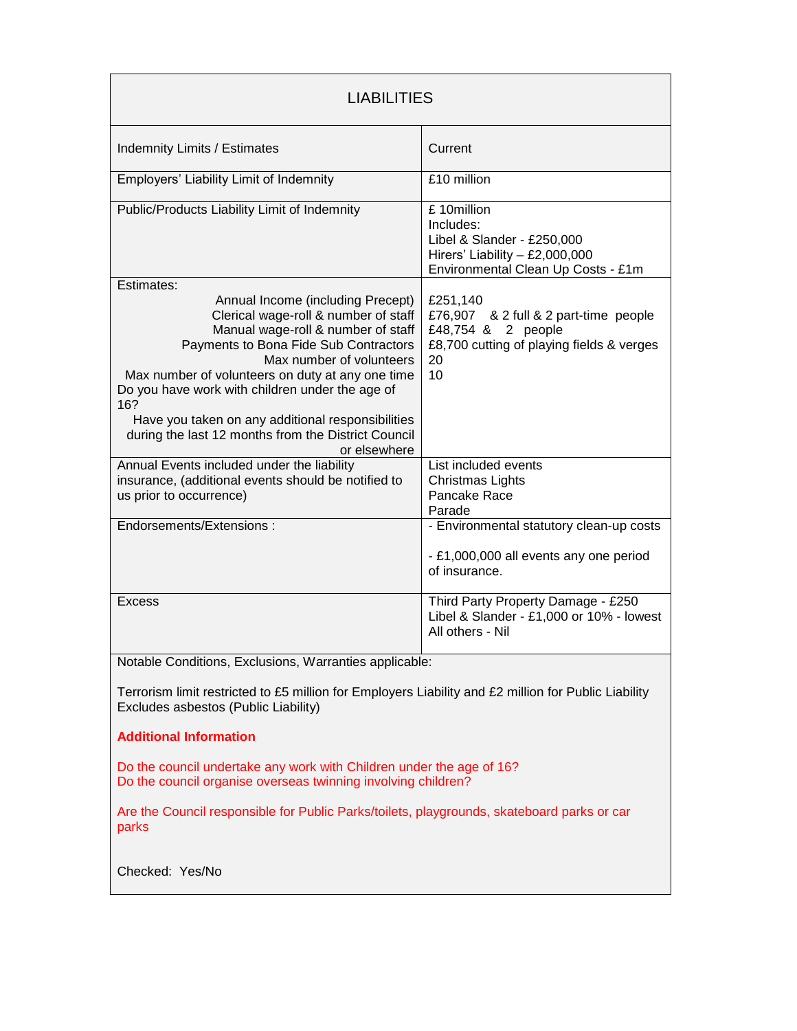| <b>LIABILITIES</b>                                                                                                                                                                                                                                                                                                                                                                                                             |                                                                                                                                  |  |
|--------------------------------------------------------------------------------------------------------------------------------------------------------------------------------------------------------------------------------------------------------------------------------------------------------------------------------------------------------------------------------------------------------------------------------|----------------------------------------------------------------------------------------------------------------------------------|--|
| <b>Indemnity Limits / Estimates</b>                                                                                                                                                                                                                                                                                                                                                                                            | Current                                                                                                                          |  |
| Employers' Liability Limit of Indemnity                                                                                                                                                                                                                                                                                                                                                                                        | £10 million                                                                                                                      |  |
| Public/Products Liability Limit of Indemnity                                                                                                                                                                                                                                                                                                                                                                                   | £10million<br>Includes:<br>Libel & Slander - £250,000<br>Hirers' Liability $-$ £2,000,000<br>Environmental Clean Up Costs - £1m  |  |
| Estimates:                                                                                                                                                                                                                                                                                                                                                                                                                     |                                                                                                                                  |  |
| Annual Income (including Precept)<br>Clerical wage-roll & number of staff<br>Manual wage-roll & number of staff<br>Payments to Bona Fide Sub Contractors<br>Max number of volunteers<br>Max number of volunteers on duty at any one time<br>Do you have work with children under the age of<br>16?<br>Have you taken on any additional responsibilities<br>during the last 12 months from the District Council<br>or elsewhere | £251,140<br>£76,907 & 2 full & 2 part-time people<br>£48,754 & 2 people<br>£8,700 cutting of playing fields & verges<br>20<br>10 |  |
| Annual Events included under the liability                                                                                                                                                                                                                                                                                                                                                                                     | List included events                                                                                                             |  |
| insurance, (additional events should be notified to<br>us prior to occurrence)                                                                                                                                                                                                                                                                                                                                                 | Christmas Lights<br>Pancake Race<br>Parade                                                                                       |  |
| Endorsements/Extensions:                                                                                                                                                                                                                                                                                                                                                                                                       | - Environmental statutory clean-up costs<br>- £1,000,000 all events any one period<br>of insurance.                              |  |
| <b>Excess</b>                                                                                                                                                                                                                                                                                                                                                                                                                  | Third Party Property Damage - £250<br>Libel & Slander - £1,000 or 10% - lowest<br>All others - Nil                               |  |
| Notable Conditions, Exclusions, Warranties applicable:                                                                                                                                                                                                                                                                                                                                                                         |                                                                                                                                  |  |
| Terrorism limit restricted to £5 million for Employers Liability and £2 million for Public Liability<br>Excludes asbestos (Public Liability)                                                                                                                                                                                                                                                                                   |                                                                                                                                  |  |
| <b>Additional Information</b>                                                                                                                                                                                                                                                                                                                                                                                                  |                                                                                                                                  |  |
| Do the council undertake any work with Children under the age of 16?<br>Do the council organise overseas twinning involving children?                                                                                                                                                                                                                                                                                          |                                                                                                                                  |  |
| Are the Council responsible for Public Parks/toilets, playgrounds, skateboard parks or car<br>parks                                                                                                                                                                                                                                                                                                                            |                                                                                                                                  |  |
| Checked: Yes/No                                                                                                                                                                                                                                                                                                                                                                                                                |                                                                                                                                  |  |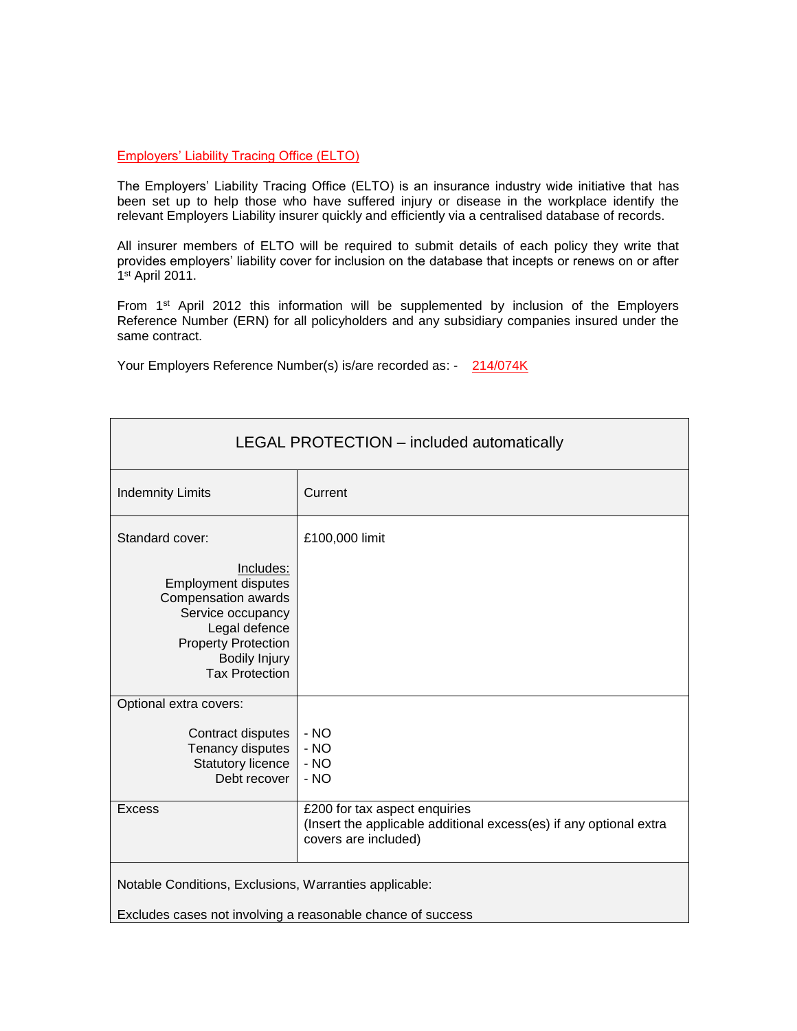#### Employers' Liability Tracing Office (ELTO)

The Employers' Liability Tracing Office (ELTO) is an insurance industry wide initiative that has been set up to help those who have suffered injury or disease in the workplace identify the relevant Employers Liability insurer quickly and efficiently via a centralised database of records.

All insurer members of ELTO will be required to submit details of each policy they write that provides employers' liability cover for inclusion on the database that incepts or renews on or after 1 st April 2011.

From 1<sup>st</sup> April 2012 this information will be supplemented by inclusion of the Employers Reference Number (ERN) for all policyholders and any subsidiary companies insured under the same contract.

Your Employers Reference Number(s) is/are recorded as: - 214/074K

| LEGAL PROTECTION - included automatically                                                                                                                                                              |                                                                                                                             |
|--------------------------------------------------------------------------------------------------------------------------------------------------------------------------------------------------------|-----------------------------------------------------------------------------------------------------------------------------|
| <b>Indemnity Limits</b>                                                                                                                                                                                | Current                                                                                                                     |
| Standard cover:<br>Includes:<br><b>Employment disputes</b><br>Compensation awards<br>Service occupancy<br>Legal defence<br><b>Property Protection</b><br><b>Bodily Injury</b><br><b>Tax Protection</b> | £100,000 limit                                                                                                              |
| Optional extra covers:<br>Contract disputes<br>Tenancy disputes<br><b>Statutory licence</b><br>Debt recover                                                                                            | $- NO$<br>$- NO$<br>$- NO$<br>$- NO$                                                                                        |
| <b>Excess</b>                                                                                                                                                                                          | £200 for tax aspect enquiries<br>(Insert the applicable additional excess(es) if any optional extra<br>covers are included) |
| Notable Conditions, Exclusions, Warranties applicable:<br>Excludes cases not involving a reasonable chance of success                                                                                  |                                                                                                                             |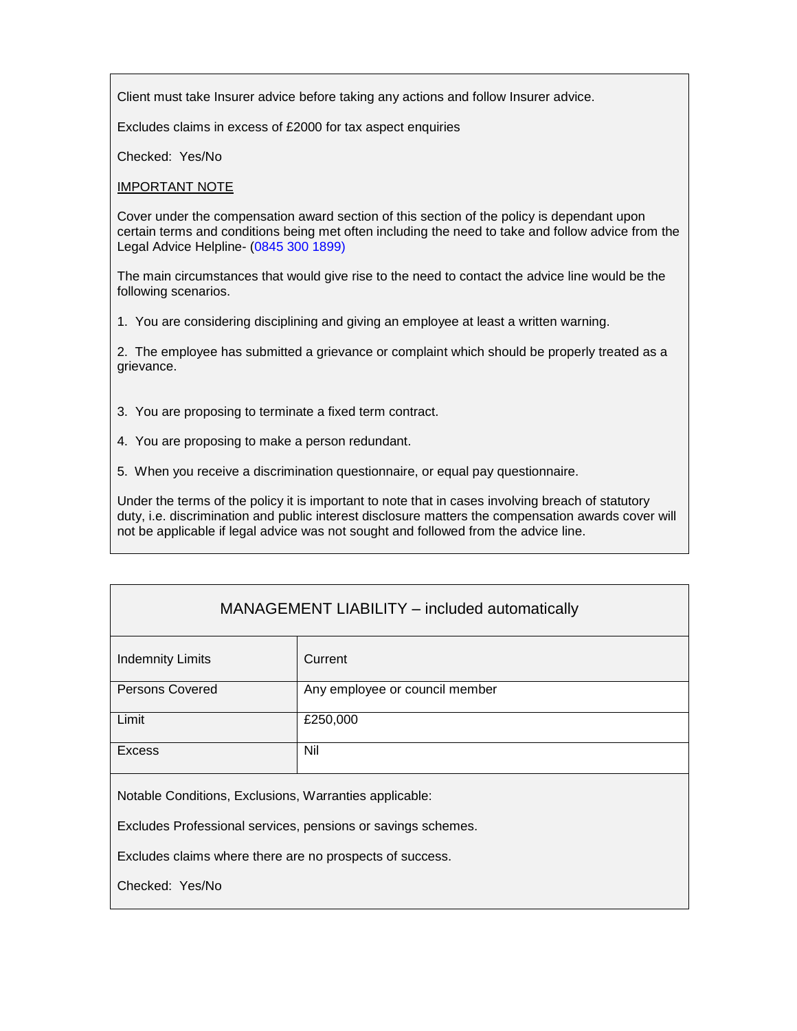Client must take Insurer advice before taking any actions and follow Insurer advice.

Excludes claims in excess of £2000 for tax aspect enquiries

Checked: Yes/No

IMPORTANT NOTE

Cover under the compensation award section of this section of the policy is dependant upon certain terms and conditions being met often including the need to take and follow advice from the Legal Advice Helpline- (0845 300 1899)

The main circumstances that would give rise to the need to contact the advice line would be the following scenarios.

1. You are considering disciplining and giving an employee at least a written warning.

2. The employee has submitted a grievance or complaint which should be properly treated as a grievance.

3. You are proposing to terminate a fixed term contract.

4. You are proposing to make a person redundant.

5. When you receive a discrimination questionnaire, or equal pay questionnaire.

Under the terms of the policy it is important to note that in cases involving breach of statutory duty, i.e. discrimination and public interest disclosure matters the compensation awards cover will not be applicable if legal advice was not sought and followed from the advice line.

## MANAGEMENT LIABILITY – included automatically

| <b>Indemnity Limits</b> | Current                        |
|-------------------------|--------------------------------|
| <b>Persons Covered</b>  | Any employee or council member |
| Limit                   | £250,000                       |
| <b>Excess</b>           | Nil                            |
|                         |                                |

Notable Conditions, Exclusions, Warranties applicable:

Excludes Professional services, pensions or savings schemes.

Excludes claims where there are no prospects of success.

Checked: Yes/No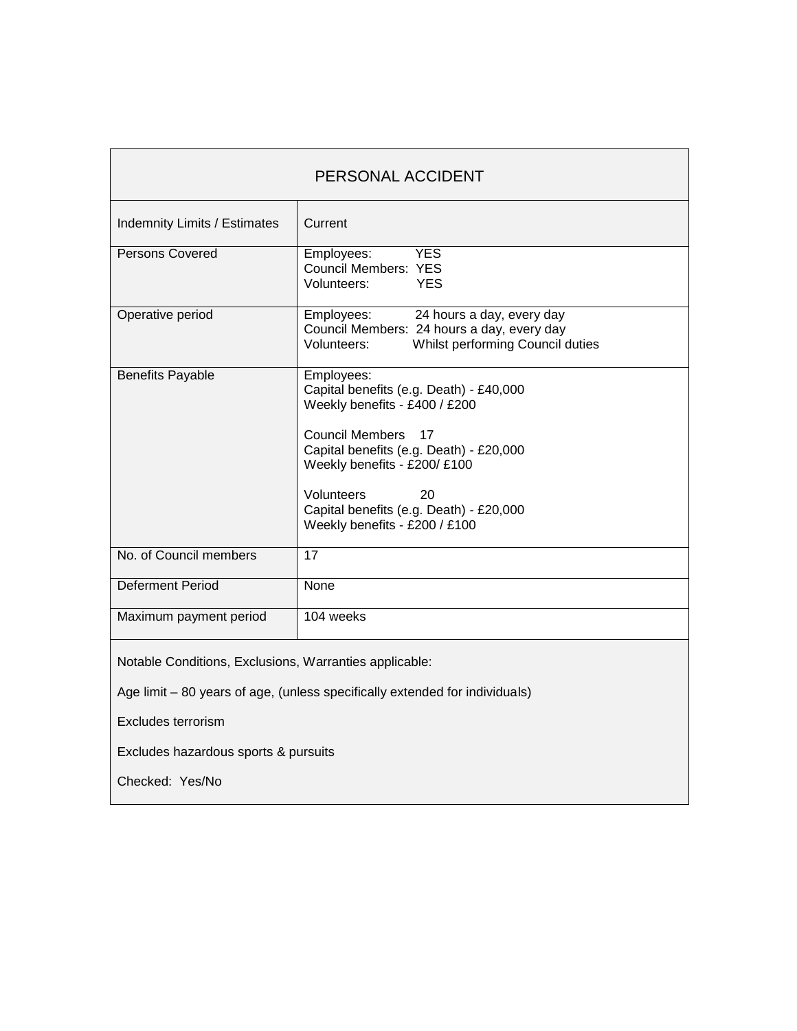| PERSONAL ACCIDENT                                                           |                                                                                                                                                                                                                                                                                                     |
|-----------------------------------------------------------------------------|-----------------------------------------------------------------------------------------------------------------------------------------------------------------------------------------------------------------------------------------------------------------------------------------------------|
| <b>Indemnity Limits / Estimates</b>                                         | Current                                                                                                                                                                                                                                                                                             |
| Persons Covered                                                             | Employees:<br><b>YES</b><br><b>Council Members: YES</b><br>Volunteers:<br><b>YES</b>                                                                                                                                                                                                                |
| Operative period                                                            | Employees:<br>24 hours a day, every day<br>Council Members: 24 hours a day, every day<br>Whilst performing Council duties<br>Volunteers:                                                                                                                                                            |
| <b>Benefits Payable</b>                                                     | Employees:<br>Capital benefits (e.g. Death) - £40,000<br>Weekly benefits - £400 / £200<br><b>Council Members</b><br>- 17<br>Capital benefits (e.g. Death) - £20,000<br>Weekly benefits - £200/ £100<br>Volunteers<br>20<br>Capital benefits (e.g. Death) - £20,000<br>Weekly benefits - £200 / £100 |
| No. of Council members                                                      | 17                                                                                                                                                                                                                                                                                                  |
| <b>Deferment Period</b>                                                     | None                                                                                                                                                                                                                                                                                                |
| Maximum payment period                                                      | 104 weeks                                                                                                                                                                                                                                                                                           |
| Notable Conditions, Exclusions, Warranties applicable:                      |                                                                                                                                                                                                                                                                                                     |
| Age limit – 80 years of age, (unless specifically extended for individuals) |                                                                                                                                                                                                                                                                                                     |
| Excludes terrorism                                                          |                                                                                                                                                                                                                                                                                                     |
| Excludes hazardous sports & pursuits                                        |                                                                                                                                                                                                                                                                                                     |

Checked: Yes/No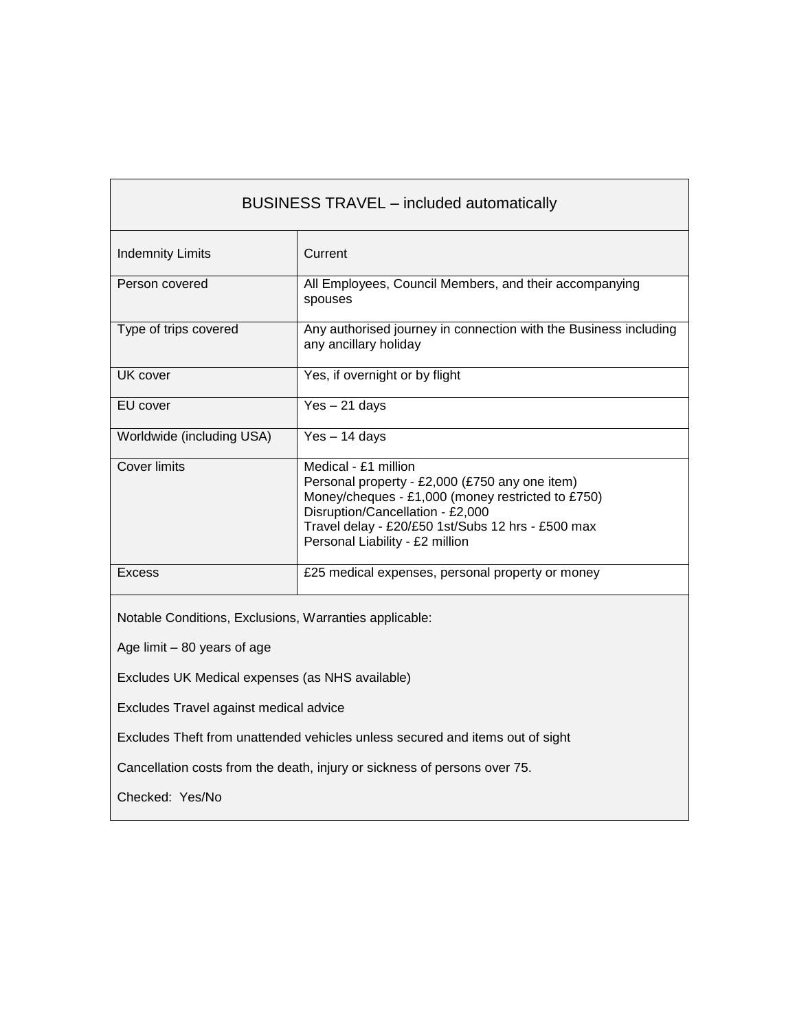| <b>BUSINESS TRAVEL - included automatically</b>                               |                                                                                                                                                                                                                                                         |
|-------------------------------------------------------------------------------|---------------------------------------------------------------------------------------------------------------------------------------------------------------------------------------------------------------------------------------------------------|
| <b>Indemnity Limits</b>                                                       | Current                                                                                                                                                                                                                                                 |
| Person covered                                                                | All Employees, Council Members, and their accompanying<br>spouses                                                                                                                                                                                       |
| Type of trips covered                                                         | Any authorised journey in connection with the Business including<br>any ancillary holiday                                                                                                                                                               |
| UK cover                                                                      | Yes, if overnight or by flight                                                                                                                                                                                                                          |
| EU cover                                                                      | $Yes - 21 days$                                                                                                                                                                                                                                         |
| Worldwide (including USA)                                                     | $Yes - 14 days$                                                                                                                                                                                                                                         |
| <b>Cover limits</b>                                                           | Medical - £1 million<br>Personal property - £2,000 (£750 any one item)<br>Money/cheques - £1,000 (money restricted to £750)<br>Disruption/Cancellation - £2,000<br>Travel delay - £20/£50 1st/Subs 12 hrs - £500 max<br>Personal Liability - £2 million |
| <b>Excess</b>                                                                 | £25 medical expenses, personal property or money                                                                                                                                                                                                        |
| Notable Conditions, Exclusions, Warranties applicable:                        |                                                                                                                                                                                                                                                         |
| Age limit - 80 years of age                                                   |                                                                                                                                                                                                                                                         |
| Excludes UK Medical expenses (as NHS available)                               |                                                                                                                                                                                                                                                         |
| Excludes Travel against medical advice                                        |                                                                                                                                                                                                                                                         |
| Excludes Theft from unattended vehicles unless secured and items out of sight |                                                                                                                                                                                                                                                         |
| Cancellation costs from the death, injury or sickness of persons over 75.     |                                                                                                                                                                                                                                                         |
| Checked: Yes/No                                                               |                                                                                                                                                                                                                                                         |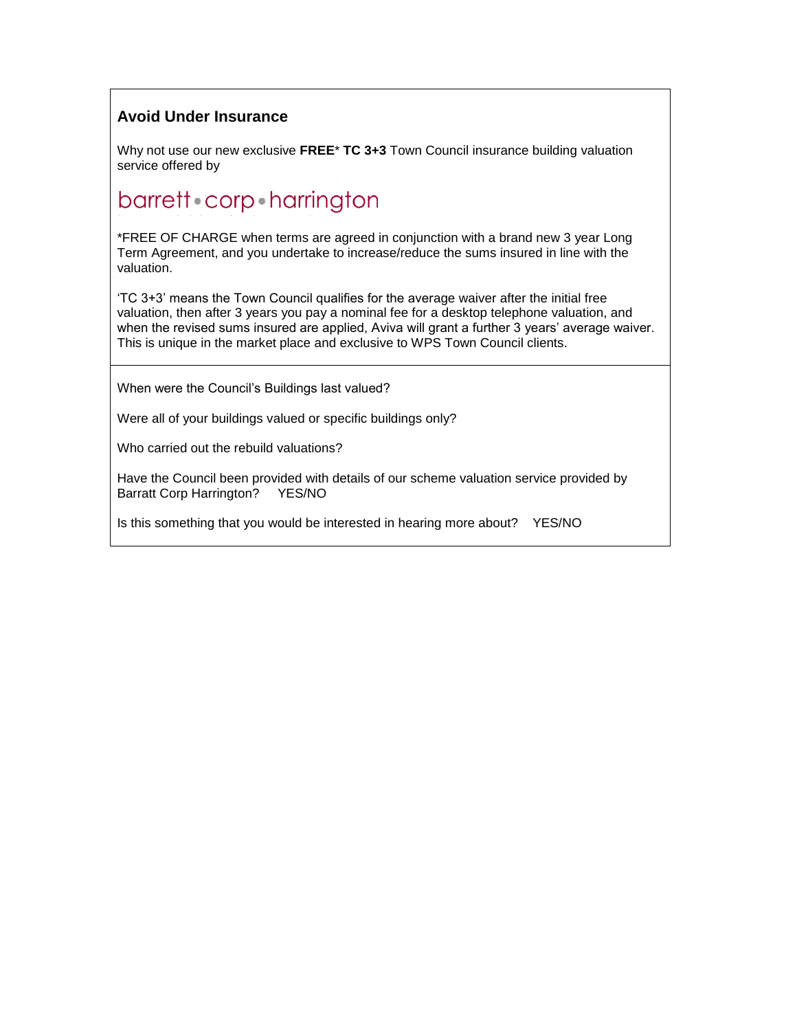## **Avoid Under Insurance**

Why not use our new exclusive **FREE**\* **TC 3+3** Town Council insurance building valuation service offered by

# barrett corp harrington

\*FREE OF CHARGE when terms are agreed in conjunction with a brand new 3 year Long Term Agreement, and you undertake to increase/reduce the sums insured in line with the valuation.

'TC 3+3' means the Town Council qualifies for the average waiver after the initial free valuation, then after 3 years you pay a nominal fee for a desktop telephone valuation, and when the revised sums insured are applied, Aviva will grant a further 3 years' average waiver. This is unique in the market place and exclusive to WPS Town Council clients.

When were the Council's Buildings last valued?

Were all of your buildings valued or specific buildings only?

Who carried out the rebuild valuations?

Have the Council been provided with details of our scheme valuation service provided by Barratt Corp Harrington? YES/NO

Is this something that you would be interested in hearing more about? YES/NO